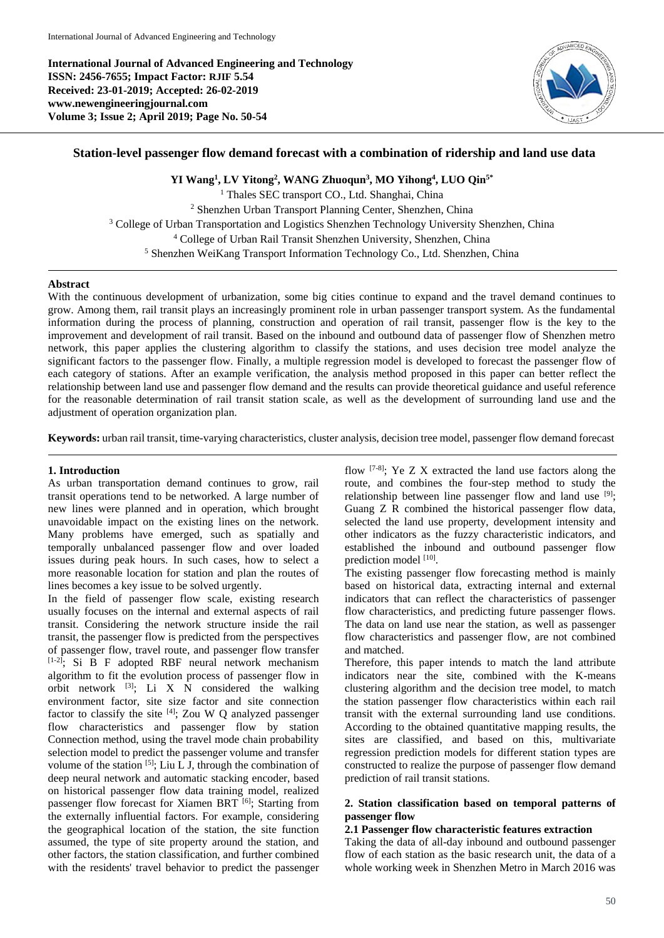**International Journal of Advanced Engineering and Technology ISSN: 2456-7655; Impact Factor: RJIF 5.54 Received: 23-01-2019; Accepted: 26-02-2019 www.newengineeringjournal.com Volume 3; Issue 2; April 2019; Page No. 50-54**



# **Station-level passenger flow demand forecast with a combination of ridership and land use data**

**YI Wang<sup>1</sup> , LV Yitong<sup>2</sup> , WANG Zhuoqun<sup>3</sup> , MO Yihong<sup>4</sup> , LUO Qin5\*** <sup>1</sup> Thales SEC transport CO., Ltd. Shanghai, China <sup>2</sup> Shenzhen Urban Transport Planning Center, Shenzhen, China <sup>3</sup> College of Urban Transportation and Logistics Shenzhen Technology University Shenzhen, China <sup>4</sup> College of Urban Rail Transit Shenzhen University, Shenzhen, China <sup>5</sup> Shenzhen WeiKang Transport Information Technology Co., Ltd. Shenzhen, China

### **Abstract**

With the continuous development of urbanization, some big cities continue to expand and the travel demand continues to grow. Among them, rail transit plays an increasingly prominent role in urban passenger transport system. As the fundamental information during the process of planning, construction and operation of rail transit, passenger flow is the key to the improvement and development of rail transit. Based on the inbound and outbound data of passenger flow of Shenzhen metro network, this paper applies the clustering algorithm to classify the stations, and uses decision tree model analyze the significant factors to the passenger flow. Finally, a multiple regression model is developed to forecast the passenger flow of each category of stations. After an example verification, the analysis method proposed in this paper can better reflect the relationship between land use and passenger flow demand and the results can provide theoretical guidance and useful reference for the reasonable determination of rail transit station scale, as well as the development of surrounding land use and the adjustment of operation organization plan.

**Keywords:** urban rail transit, time-varying characteristics, cluster analysis, decision tree model, passenger flow demand forecast

### **1. Introduction**

As urban transportation demand continues to grow, rail transit operations tend to be networked. A large number of new lines were planned and in operation, which brought unavoidable impact on the existing lines on the network. Many problems have emerged, such as spatially and temporally unbalanced passenger flow and over loaded issues during peak hours. In such cases, how to select a more reasonable location for station and plan the routes of lines becomes a key issue to be solved urgently.

In the field of passenger flow scale, existing research usually focuses on the internal and external aspects of rail transit. Considering the network structure inside the rail transit, the passenger flow is predicted from the perspectives of passenger flow, travel route, and passenger flow transfer [1-2]; Si B F adopted RBF neural network mechanism algorithm to fit the evolution process of passenger flow in orbit network  $^{[3]}$ ; Li X N considered the walking environment factor, site size factor and site connection factor to classify the site  $[4]$ ; Zou W Q analyzed passenger flow characteristics and passenger flow by station Connection method, using the travel mode chain probability selection model to predict the passenger volume and transfer volume of the station  $[5]$ ; Liu L J, through the combination of deep neural network and automatic stacking encoder, based on historical passenger flow data training model, realized passenger flow forecast for Xiamen BRT  $[6]$ ; Starting from the externally influential factors. For example, considering the geographical location of the station, the site function assumed, the type of site property around the station, and other factors, the station classification, and further combined with the residents' travel behavior to predict the passenger flow  $^{[7-8]}$ ; Ye Z X extracted the land use factors along the route, and combines the four-step method to study the relationship between line passenger flow and land use [9]; Guang Z R combined the historical passenger flow data, selected the land use property, development intensity and other indicators as the fuzzy characteristic indicators, and established the inbound and outbound passenger flow prediction model [10].

The existing passenger flow forecasting method is mainly based on historical data, extracting internal and external indicators that can reflect the characteristics of passenger flow characteristics, and predicting future passenger flows. The data on land use near the station, as well as passenger flow characteristics and passenger flow, are not combined and matched.

Therefore, this paper intends to match the land attribute indicators near the site, combined with the K-means clustering algorithm and the decision tree model, to match the station passenger flow characteristics within each rail transit with the external surrounding land use conditions. According to the obtained quantitative mapping results, the sites are classified, and based on this, multivariate regression prediction models for different station types are constructed to realize the purpose of passenger flow demand prediction of rail transit stations.

# **2. Station classification based on temporal patterns of passenger flow**

### **2.1 Passenger flow characteristic features extraction**

Taking the data of all-day inbound and outbound passenger flow of each station as the basic research unit, the data of a whole working week in Shenzhen Metro in March 2016 was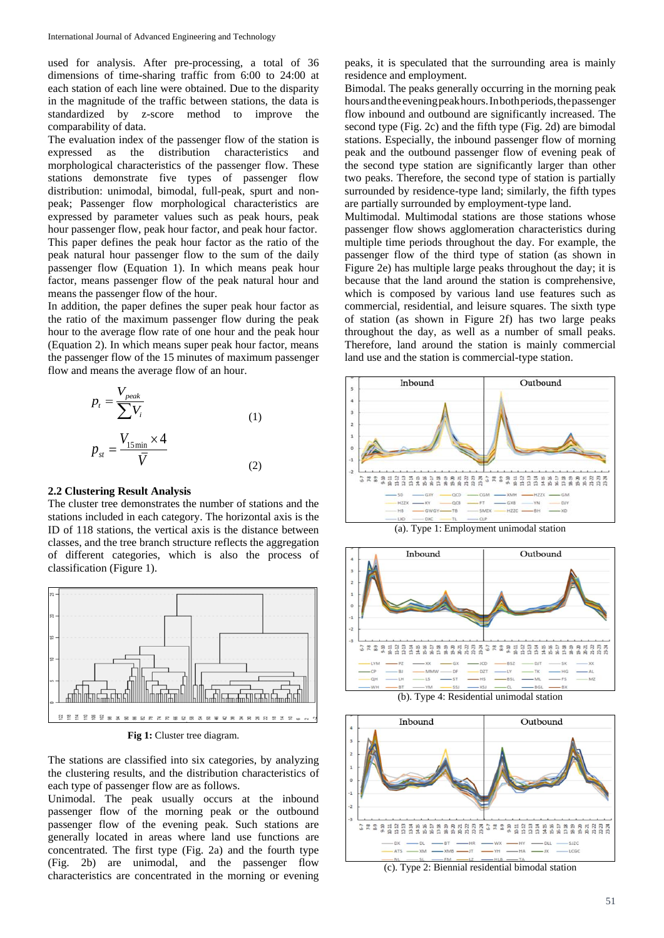used for analysis. After pre-processing, a total of 36 dimensions of time-sharing traffic from 6:00 to 24:00 at each station of each line were obtained. Due to the disparity in the magnitude of the traffic between stations, the data is standardized by z-score method to improve the comparability of data.

The evaluation index of the passenger flow of the station is expressed as the distribution characteristics and morphological characteristics of the passenger flow. These stations demonstrate five types of passenger flow distribution: unimodal, bimodal, full-peak, spurt and nonpeak; Passenger flow morphological characteristics are expressed by parameter values such as peak hours, peak hour passenger flow, peak hour factor, and peak hour factor. This paper defines the peak hour factor as the ratio of the peak natural hour passenger flow to the sum of the daily passenger flow (Equation 1). In which means peak hour factor, means passenger flow of the peak natural hour and means the passenger flow of the hour.

In addition, the paper defines the super peak hour factor as the ratio of the maximum passenger flow during the peak hour to the average flow rate of one hour and the peak hour (Equation 2). In which means super peak hour factor, means the passenger flow of the 15 minutes of maximum passenger flow and means the average flow of an hour.

$$
p_{t} = \frac{V_{peak}}{\sum V_{i}}\np_{st} = \frac{V_{15\min} \times 4}{\overline{V}}
$$
\n(1)

#### **2.2 Clustering Result Analysis**

The cluster tree demonstrates the number of stations and the stations included in each category. The horizontal axis is the ID of 118 stations, the vertical axis is the distance between classes, and the tree branch structure reflects the aggregation of different categories, which is also the process of classification (Figure 1).



**Fig 1:** Cluster tree diagram.

The stations are classified into six categories, by analyzing the clustering results, and the distribution characteristics of each type of passenger flow are as follows.

Unimodal. The peak usually occurs at the inbound passenger flow of the morning peak or the outbound passenger flow of the evening peak. Such stations are generally located in areas where land use functions are concentrated. The first type (Fig. 2a) and the fourth type (Fig. 2b) are unimodal, and the passenger flow characteristics are concentrated in the morning or evening

peaks, it is speculated that the surrounding area is mainly residence and employment.

Bimodal. The peaks generally occurring in the morning peak hours and the evening peak hours. In both periods, the passenger flow inbound and outbound are significantly increased. The second type (Fig. 2c) and the fifth type (Fig. 2d) are bimodal stations. Especially, the inbound passenger flow of morning peak and the outbound passenger flow of evening peak of the second type station are significantly larger than other two peaks. Therefore, the second type of station is partially surrounded by residence-type land; similarly, the fifth types are partially surrounded by employment-type land.

Multimodal. Multimodal stations are those stations whose passenger flow shows agglomeration characteristics during multiple time periods throughout the day. For example, the passenger flow of the third type of station (as shown in Figure 2e) has multiple large peaks throughout the day; it is because that the land around the station is comprehensive, which is composed by various land use features such as commercial, residential, and leisure squares. The sixth type of station (as shown in Figure 2f) has two large peaks throughout the day, as well as a number of small peaks. Therefore, land around the station is mainly commercial land use and the station is commercial-type station.



(a). Type 1: Employment unimodal station



(b). Type 4: Residential unimodal station



(c). Type 2: Biennial residential bimodal station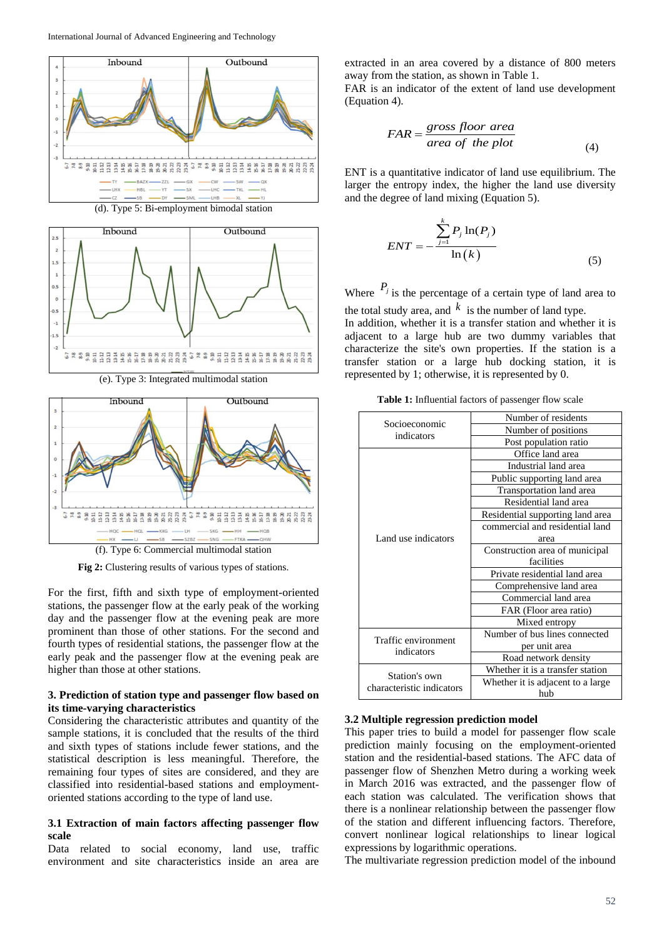





(e). Type 3: Integrated multimodal station



**Fig 2:** Clustering results of various types of stations.

For the first, fifth and sixth type of employment-oriented stations, the passenger flow at the early peak of the working day and the passenger flow at the evening peak are more prominent than those of other stations. For the second and fourth types of residential stations, the passenger flow at the early peak and the passenger flow at the evening peak are higher than those at other stations.

# **3. Prediction of station type and passenger flow based on its time-varying characteristics**

Considering the characteristic attributes and quantity of the sample stations, it is concluded that the results of the third and sixth types of stations include fewer stations, and the statistical description is less meaningful. Therefore, the remaining four types of sites are considered, and they are classified into residential-based stations and employmentoriented stations according to the type of land use.

# **3.1 Extraction of main factors affecting passenger flow scale**

Data related to social economy, land use, traffic environment and site characteristics inside an area are extracted in an area covered by a distance of 800 meters away from the station, as shown in Table 1.

FAR is an indicator of the extent of land use development (Equation 4).

$$
FAR = \frac{gross\ floor\ area}{area\ of\ the\ plot} \tag{4}
$$

ENT is a quantitative indicator of land use equilibrium. The larger the entropy index, the higher the land use diversity and the degree of land mixing (Equation 5).

$$
ENT = -\frac{\sum_{j=1}^{k} P_j \ln(P_j)}{\ln(k)} \tag{5}
$$

Where  $P_j$  is the percentage of a certain type of land area to the total study area, and  $k$  is the number of land type.

In addition, whether it is a transfer station and whether it is adjacent to a large hub are two dummy variables that characterize the site's own properties. If the station is a transfer station or a large hub docking station, it is represented by 1; otherwise, it is represented by 0.

**Table 1:** Influential factors of passenger flow scale

| Socioeconomic<br>indicators                | Number of residents               |
|--------------------------------------------|-----------------------------------|
|                                            | Number of positions               |
|                                            | Post population ratio             |
| Land use indicators                        | Office land area                  |
|                                            | Industrial land area              |
|                                            | Public supporting land area       |
|                                            | Transportation land area          |
|                                            | Residential land area             |
|                                            | Residential supporting land area  |
|                                            | commercial and residential land   |
|                                            | area                              |
|                                            | Construction area of municipal    |
|                                            | facilities                        |
|                                            | Private residential land area     |
|                                            | Comprehensive land area           |
|                                            | Commercial land area              |
|                                            | FAR (Floor area ratio)            |
|                                            | Mixed entropy                     |
| Traffic environment<br>indicators          | Number of bus lines connected     |
|                                            | per unit area                     |
|                                            | Road network density              |
| Station's own<br>characteristic indicators | Whether it is a transfer station  |
|                                            | Whether it is adjacent to a large |
|                                            | hub                               |

#### **3.2 Multiple regression prediction model**

This paper tries to build a model for passenger flow scale prediction mainly focusing on the employment-oriented station and the residential-based stations. The AFC data of passenger flow of Shenzhen Metro during a working week in March 2016 was extracted, and the passenger flow of each station was calculated. The verification shows that there is a nonlinear relationship between the passenger flow of the station and different influencing factors. Therefore, convert nonlinear logical relationships to linear logical expressions by logarithmic operations.

The multivariate regression prediction model of the inbound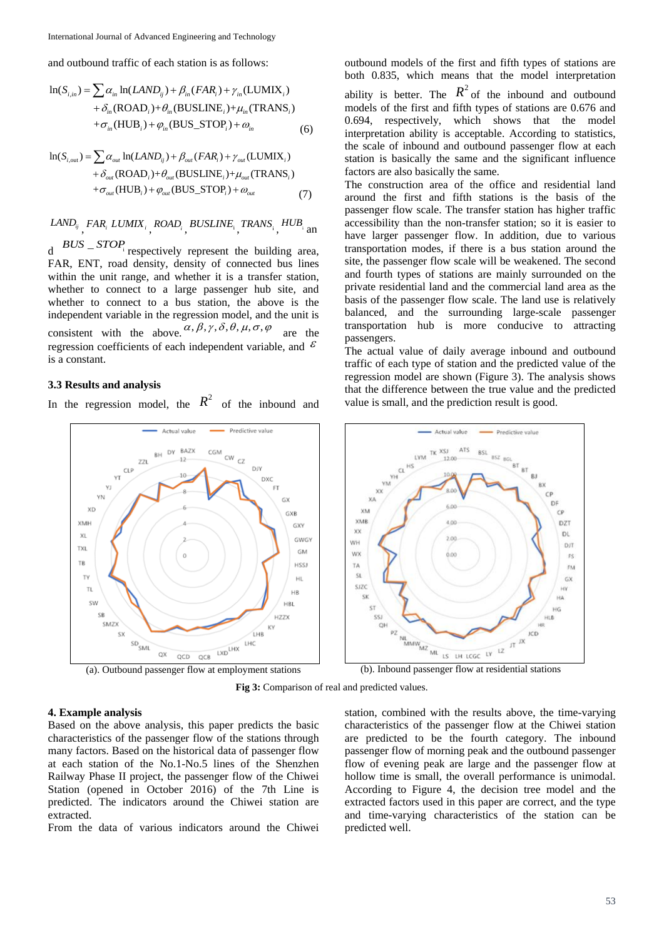and outbound traffic of each station is as follows:  
\n
$$
\ln(S_{i,in}) = \sum \alpha_{in} \ln(LAND_{ij}) + \beta_{in}(FAR_i) + \gamma_{in}(LUMIX_i)
$$
\n
$$
+ \delta_{in}(ROAD_i) + \theta_{in}(BUSLINE_i) + \mu_{in}(TRANS_i)
$$
\n
$$
+ \sigma_{in}(HUB_i) + \varphi_{in}(BUS\_STOP_i) + \varphi_{in}
$$
\n(6)

$$
+ \sigma_{in}(\mathbf{HOB}_i) + \varphi_{in}(\mathbf{BOS\_SIO}_i) + \omega_{in}
$$
\n(6)  
\n
$$
\ln(S_{i,out}) = \sum \alpha_{out} \ln(LAND_{ij}) + \beta_{out}(FAR_i) + \gamma_{out}(\text{LUMIX}_i)
$$
\n
$$
+ \delta_{out}(\text{ROAD}_i) + \theta_{out}(\text{BUS\_STOP}_i) + \mu_{out}(\text{TRANS}_i)
$$
\n
$$
+ \sigma_{out}(\text{HUB}_i) + \varphi_{out}(\text{BUS\_STOP}_i) + \omega_{out}
$$
\n(7)

*LANDij* , *FAR<sup>i</sup> LUMIX<sup>i</sup>* , *ROAD<sup>i</sup>* , *BUSLINE*<sup>i</sup> , *TRANS*<sup>i</sup> , *HUB* i an

 $d$  *BUS* – *STOP* respectively represent the building area, FAR, ENT, road density, density of connected bus lines within the unit range, and whether it is a transfer station, whether to connect to a large passenger hub site, and whether to connect to a bus station, the above is the independent variable in the regression model, and the unit is consistent with the above.  $\alpha, \beta, \gamma, \delta, \theta, \mu, \sigma, \varphi$ are the regression coefficients of each independent variable, and  $\epsilon$ is a constant.

# **3.3 Results and analysis**

In the regression model, the  $R^2$  of the inbound and

outbound models of the first and fifth types of stations are both 0.835, which means that the model interpretation

ability is better. The  $R^2$  of the inbound and outbound models of the first and fifth types of stations are 0.676 and 0.694, respectively, which shows that the model interpretation ability is acceptable. According to statistics, the scale of inbound and outbound passenger flow at each station is basically the same and the significant influence factors are also basically the same.

The construction area of the office and residential land around the first and fifth stations is the basis of the passenger flow scale. The transfer station has higher traffic accessibility than the non-transfer station; so it is easier to have larger passenger flow. In addition, due to various transportation modes, if there is a bus station around the site, the passenger flow scale will be weakened. The second and fourth types of stations are mainly surrounded on the private residential land and the commercial land area as the basis of the passenger flow scale. The land use is relatively balanced, and the surrounding large-scale passenger transportation hub is more conducive to attracting passengers.

The actual value of daily average inbound and outbound traffic of each type of station and the predicted value of the regression model are shown (Figure 3). The analysis shows that the difference between the true value and the predicted value is small, and the prediction result is good.



(a). Outbound passenger flow at employment stations (b). Inbound passenger flow at residential stations

**Fig 3:** Comparison of real and predicted values.

### **4. Example analysis**

Based on the above analysis, this paper predicts the basic characteristics of the passenger flow of the stations through many factors. Based on the historical data of passenger flow at each station of the No.1-No.5 lines of the Shenzhen Railway Phase II project, the passenger flow of the Chiwei Station (opened in October 2016) of the 7th Line is predicted. The indicators around the Chiwei station are extracted.

From the data of various indicators around the Chiwei

station, combined with the results above, the time-varying characteristics of the passenger flow at the Chiwei station are predicted to be the fourth category. The inbound passenger flow of morning peak and the outbound passenger flow of evening peak are large and the passenger flow at hollow time is small, the overall performance is unimodal. According to Figure 4, the decision tree model and the extracted factors used in this paper are correct, and the type and time-varying characteristics of the station can be predicted well.